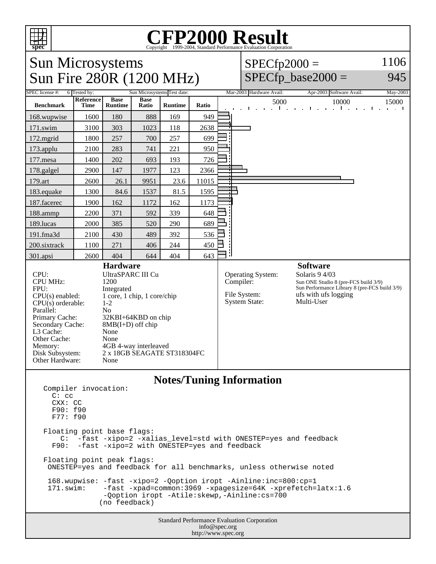

## Copyright ©1999-2004, Standard Performance Evaluation Corporation

Sun Microsystems Sun Fire 280R (1200 MHz)  $SPECfp2000 =$ 1106

## $SPECfp\_base2000 =$

945

| SPEC license #:                                                                                                                                                                                                                                                                                                                                                                                                                                                           | 6 Tested by:<br>Sun Microsystems Test date: |                               |                      |                                 |       | Mar-2003 Hardware Avail:                                                      |  | Apr-2003 Software Avail:                                                                                                                                         |                          | May-2003                                                       |                                        |
|---------------------------------------------------------------------------------------------------------------------------------------------------------------------------------------------------------------------------------------------------------------------------------------------------------------------------------------------------------------------------------------------------------------------------------------------------------------------------|---------------------------------------------|-------------------------------|----------------------|---------------------------------|-------|-------------------------------------------------------------------------------|--|------------------------------------------------------------------------------------------------------------------------------------------------------------------|--------------------------|----------------------------------------------------------------|----------------------------------------|
| <b>Benchmark</b>                                                                                                                                                                                                                                                                                                                                                                                                                                                          | Reference<br>Time                           | <b>Base</b><br><b>Runtime</b> | <b>Base</b><br>Ratio | <b>Runtime</b>                  | Ratio |                                                                               |  | 5000                                                                                                                                                             | 10000<br>$\sim$ 1 $\sim$ | $\mathbf{r}$<br>$\mathbf{I}$<br>$\mathbf{r}$<br>$\blacksquare$ | 15000<br>$\mathbf{r}$ and $\mathbf{r}$ |
| 168.wupwise                                                                                                                                                                                                                                                                                                                                                                                                                                                               | 1600                                        | 180                           | 888                  | 169                             | 949   |                                                                               |  |                                                                                                                                                                  |                          |                                                                |                                        |
| 171.swim                                                                                                                                                                                                                                                                                                                                                                                                                                                                  | 3100                                        | 303                           | 1023                 | 118                             | 2638  |                                                                               |  |                                                                                                                                                                  |                          |                                                                |                                        |
| 172.mgrid                                                                                                                                                                                                                                                                                                                                                                                                                                                                 | 1800                                        | 257                           | 700                  | 257                             | 699   |                                                                               |  |                                                                                                                                                                  |                          |                                                                |                                        |
| 173.applu                                                                                                                                                                                                                                                                                                                                                                                                                                                                 | 2100                                        | 283                           | 741                  | 221                             | 950   |                                                                               |  |                                                                                                                                                                  |                          |                                                                |                                        |
| 177.mesa                                                                                                                                                                                                                                                                                                                                                                                                                                                                  | 1400                                        | 202                           | 693                  | 193                             | 726   |                                                                               |  |                                                                                                                                                                  |                          |                                                                |                                        |
| 178.galgel                                                                                                                                                                                                                                                                                                                                                                                                                                                                | 2900                                        | 147                           | 1977                 | 123                             | 2366  |                                                                               |  |                                                                                                                                                                  |                          |                                                                |                                        |
| 179.art                                                                                                                                                                                                                                                                                                                                                                                                                                                                   | 2600                                        | 26.1                          | 9951                 | 23.6                            | 11015 |                                                                               |  |                                                                                                                                                                  |                          |                                                                |                                        |
| 183.equake                                                                                                                                                                                                                                                                                                                                                                                                                                                                | 1300                                        | 84.6                          | 1537                 | 81.5                            | 1595  |                                                                               |  |                                                                                                                                                                  |                          |                                                                |                                        |
| 187.facerec                                                                                                                                                                                                                                                                                                                                                                                                                                                               | 1900                                        | 162                           | 1172                 | 162                             | 1173  |                                                                               |  |                                                                                                                                                                  |                          |                                                                |                                        |
| 188.ammp                                                                                                                                                                                                                                                                                                                                                                                                                                                                  | 2200                                        | 371                           | 592                  | 339                             | 648   |                                                                               |  |                                                                                                                                                                  |                          |                                                                |                                        |
| 189.lucas                                                                                                                                                                                                                                                                                                                                                                                                                                                                 | 2000                                        | 385                           | 520                  | 290                             | 689   |                                                                               |  |                                                                                                                                                                  |                          |                                                                |                                        |
| 191.fma3d                                                                                                                                                                                                                                                                                                                                                                                                                                                                 | 2100                                        | 430                           | 489                  | 392                             | 536   |                                                                               |  |                                                                                                                                                                  |                          |                                                                |                                        |
| 200.sixtrack                                                                                                                                                                                                                                                                                                                                                                                                                                                              | 1100                                        | 271                           | 406                  | 244                             | 450   |                                                                               |  |                                                                                                                                                                  |                          |                                                                |                                        |
| 301.apsi                                                                                                                                                                                                                                                                                                                                                                                                                                                                  | 2600                                        | 404                           | 644                  | 404                             | 643   |                                                                               |  |                                                                                                                                                                  |                          |                                                                |                                        |
| <b>Hardware</b><br><b>UltraSPARC III Cu</b><br>CPU:<br><b>CPU MHz:</b><br>1200<br>FPU:<br>Integrated<br>1 core, 1 chip, 1 core/chip<br>$CPU(s)$ enabled:<br>CPU(s) orderable:<br>$1 - 2$<br>Parallel:<br>N <sub>o</sub><br>Primary Cache:<br>32KBI+64KBD on chip<br>Secondary Cache:<br>$8MB(I+D)$ off chip<br>L3 Cache:<br>None<br>None<br>Other Cache:<br>4GB 4-way interleaved<br>Memory:<br>2 x 18GB SEAGATE ST318304FC<br>Disk Subsystem:<br>Other Hardware:<br>None |                                             |                               |                      |                                 |       | <b>Operating System:</b><br>Compiler:<br>File System:<br><b>System State:</b> |  | <b>Software</b><br>Solaris 9 4/03<br>Sun ONE Studio 8 (pre-FCS build 3/9)<br>Sun Performance Library 8 (pre-FCS build 3/9)<br>ufs with ufs logging<br>Multi-User |                          |                                                                |                                        |
| Compiler invocation:<br>$C:$ $CC$<br>CXX: CC                                                                                                                                                                                                                                                                                                                                                                                                                              |                                             |                               |                      | <b>Notes/Tuning Information</b> |       |                                                                               |  |                                                                                                                                                                  |                          |                                                                |                                        |

 F90: f90 F77: f90 Floating point base flags: C: -fast -xipo=2 -xalias\_level=std with ONESTEP=yes and feedback F90: -fast -xipo=2 with ONESTEP=yes and feedback Floating point peak flags: ONESTEP=yes and feedback for all benchmarks, unless otherwise noted 168.wupwise: -fast -xipo=2 -Qoption iropt -Ainline:inc=800:cp=1 -fast -xpad=common:3969 -xpagesize=64K -xprefetch=latx:1.6 -Qoption iropt -Atile:skewp,-Ainline:cs=700 (no feedback)

> Standard Performance Evaluation Corporation info@spec.org http://www.spec.org